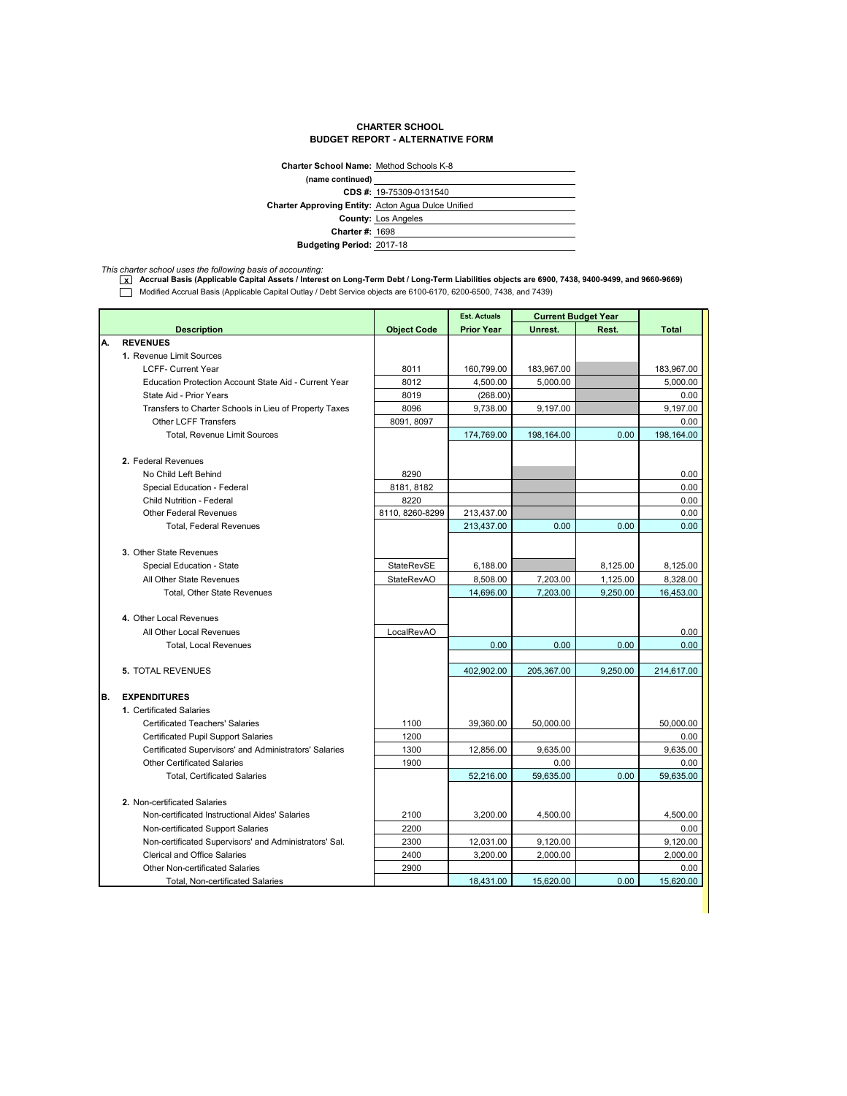## **CHARTER SCHOOL BUDGET REPORT - ALTERNATIVE FORM**

| <b>Charter School Name: Method Schools K-8</b>            |                            |
|-----------------------------------------------------------|----------------------------|
| (name continued)                                          |                            |
|                                                           | CDS #: 19-75309-0131540    |
| <b>Charter Approving Entity: Acton Agua Dulce Unified</b> |                            |
|                                                           | <b>County: Los Angeles</b> |
| <b>Charter #: 1698</b>                                    |                            |
| <b>Budgeting Period: 2017-18</b>                          |                            |
|                                                           |                            |

*This charter school uses the following basis of accounting:* **x Accrual Basis (Applicable Capital Assets / Interest on Long-Term Debt / Long-Term Liabilities objects are 6900, 7438, 9400-9499, and 9660-9669)** Modified Accrual Basis (Applicable Capital Outlay / Debt Service objects are 6100-6170, 6200-6500, 7438, and 7439)

|     |                                                        |                    | <b>Est. Actuals</b> | <b>Current Budget Year</b> |          |              |
|-----|--------------------------------------------------------|--------------------|---------------------|----------------------------|----------|--------------|
|     | <b>Description</b>                                     | <b>Object Code</b> | <b>Prior Year</b>   | Unrest.                    | Rest.    | <b>Total</b> |
| А.  | <b>REVENUES</b>                                        |                    |                     |                            |          |              |
|     | 1. Revenue Limit Sources                               |                    |                     |                            |          |              |
|     | <b>LCFF- Current Year</b>                              | 8011               | 160,799.00          | 183,967.00                 |          | 183,967.00   |
|     | Education Protection Account State Aid - Current Year  | 8012               | 4,500.00            | 5.000.00                   |          | 5,000.00     |
|     | State Aid - Prior Years                                | 8019               | (268.00)            |                            |          | 0.00         |
|     | Transfers to Charter Schools in Lieu of Property Taxes | 8096               | 9,738.00            | 9,197.00                   |          | 9,197.00     |
|     | <b>Other LCFF Transfers</b>                            | 8091, 8097         |                     |                            |          | 0.00         |
|     | Total, Revenue Limit Sources                           |                    | 174,769.00          | 198,164.00                 | 0.00     | 198,164.00   |
|     | 2. Federal Revenues                                    |                    |                     |                            |          |              |
|     | No Child Left Behind                                   | 8290               |                     |                            |          | 0.00         |
|     | Special Education - Federal                            | 8181, 8182         |                     |                            |          | 0.00         |
|     | <b>Child Nutrition - Federal</b>                       | 8220               |                     |                            |          | 0.00         |
|     | <b>Other Federal Revenues</b>                          | 8110.8260-8299     | 213,437.00          |                            |          | 0.00         |
|     | <b>Total, Federal Revenues</b>                         |                    | 213,437.00          | 0.00                       | 0.00     | 0.00         |
|     |                                                        |                    |                     |                            |          |              |
|     | 3. Other State Revenues                                |                    |                     |                            |          |              |
|     | Special Education - State                              | StateRevSE         | 6,188.00            |                            | 8,125.00 | 8,125.00     |
|     | All Other State Revenues                               | <b>StateRevAO</b>  | 8,508.00            | 7,203.00                   | 1,125.00 | 8,328.00     |
|     | Total, Other State Revenues                            |                    | 14,696.00           | 7,203.00                   | 9.250.00 | 16,453.00    |
|     |                                                        |                    |                     |                            |          |              |
|     | 4. Other Local Revenues                                |                    |                     |                            |          |              |
|     | All Other Local Revenues                               | LocalRevAO         |                     |                            |          | 0.00         |
|     | <b>Total, Local Revenues</b>                           |                    | 0.00                | 0.00                       | 0.00     | 0.00         |
|     |                                                        |                    |                     |                            |          |              |
|     | <b>5. TOTAL REVENUES</b>                               |                    | 402,902.00          | 205,367.00                 | 9,250.00 | 214,617.00   |
|     |                                                        |                    |                     |                            |          |              |
| IB. | <b>EXPENDITURES</b>                                    |                    |                     |                            |          |              |
|     | 1. Certificated Salaries                               |                    |                     |                            |          |              |
|     | <b>Certificated Teachers' Salaries</b>                 | 1100               | 39,360.00           | 50,000.00                  |          | 50,000.00    |
|     | <b>Certificated Pupil Support Salaries</b>             | 1200               |                     |                            |          | 0.00         |
|     | Certificated Supervisors' and Administrators' Salaries | 1300               | 12,856.00           | 9,635.00                   |          | 9,635.00     |
|     | <b>Other Certificated Salaries</b>                     | 1900               |                     | 0.00                       |          | 0.00         |
|     | <b>Total, Certificated Salaries</b>                    |                    | 52,216.00           | 59,635.00                  | 0.00     | 59,635.00    |
|     |                                                        |                    |                     |                            |          |              |
|     | 2. Non-certificated Salaries                           |                    |                     |                            |          |              |
|     | Non-certificated Instructional Aides' Salaries         | 2100               | 3,200.00            | 4,500.00                   |          | 4,500.00     |
|     | Non-certificated Support Salaries                      | 2200               |                     |                            |          | 0.00         |
|     | Non-certificated Supervisors' and Administrators' Sal. | 2300               | 12,031.00           | 9,120.00                   |          | 9,120.00     |
|     | <b>Clerical and Office Salaries</b>                    | 2400               | 3,200.00            | 2,000.00                   |          | 2,000.00     |
|     | <b>Other Non-certificated Salaries</b>                 | 2900               |                     |                            |          | 0.00         |
|     | Total, Non-certificated Salaries                       |                    | 18,431.00           | 15,620.00                  | 0.00     | 15,620.00    |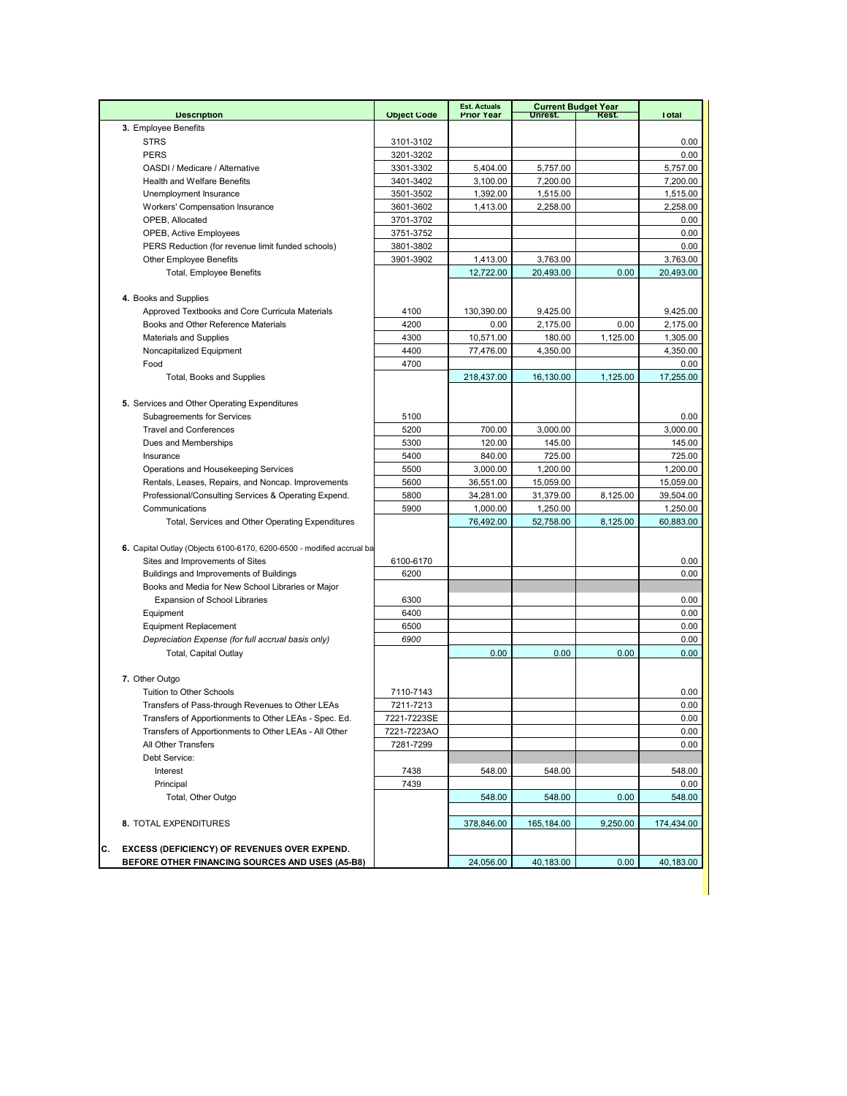|                                                                                        |                    | <b>Est. Actuals</b> |            | <b>Current Budget Year</b> |                  |
|----------------------------------------------------------------------------------------|--------------------|---------------------|------------|----------------------------|------------------|
| <b>Description</b>                                                                     | <b>Object Code</b> | <b>Prior Year</b>   | Unrest.    | Rest.                      | <b>Total</b>     |
| 3. Employee Benefits                                                                   |                    |                     |            |                            |                  |
| <b>STRS</b><br><b>PERS</b>                                                             | 3101-3102          |                     |            |                            | 0.00             |
|                                                                                        | 3201-3202          |                     |            |                            | 0.00             |
| OASDI / Medicare / Alternative                                                         | 3301-3302          | 5,404.00            | 5,757.00   |                            | 5,757.00         |
| <b>Health and Welfare Benefits</b>                                                     | 3401-3402          | 3,100.00            | 7,200.00   |                            | 7,200.00         |
| Unemployment Insurance                                                                 | 3501-3502          | 1,392.00            | 1,515.00   |                            | 1,515.00         |
| Workers' Compensation Insurance                                                        | 3601-3602          | 1,413.00            | 2,258.00   |                            | 2,258.00         |
| OPEB, Allocated                                                                        | 3701-3702          |                     |            |                            | 0.00             |
| OPEB, Active Employees                                                                 | 3751-3752          |                     |            |                            | 0.00             |
| PERS Reduction (for revenue limit funded schools)                                      | 3801-3802          |                     |            |                            | 0.00             |
| <b>Other Employee Benefits</b>                                                         | 3901-3902          | 1,413.00            | 3,763.00   |                            | 3,763.00         |
| <b>Total, Employee Benefits</b>                                                        |                    | 12,722.00           | 20,493.00  | 0.00                       | 20,493.00        |
| 4. Books and Supplies                                                                  |                    |                     |            |                            |                  |
|                                                                                        | 4100               | 130,390.00          |            |                            |                  |
| Approved Textbooks and Core Curricula Materials<br>Books and Other Reference Materials | 4200               |                     | 9,425.00   | 0.00                       | 9,425.00         |
|                                                                                        |                    | 0.00                | 2,175.00   |                            | 2,175.00         |
| <b>Materials and Supplies</b>                                                          | 4300               | 10,571.00           | 180.00     | 1,125.00                   | 1,305.00         |
| Noncapitalized Equipment<br>Food                                                       | 4400<br>4700       | 77,476.00           | 4,350.00   |                            | 4,350.00<br>0.00 |
|                                                                                        |                    |                     |            |                            | 17,255.00        |
| Total, Books and Supplies                                                              |                    | 218,437.00          | 16,130.00  | 1,125.00                   |                  |
|                                                                                        |                    |                     |            |                            |                  |
| 5. Services and Other Operating Expenditures                                           |                    |                     |            |                            |                  |
| Subagreements for Services                                                             | 5100               |                     |            |                            | 0.00             |
| <b>Travel and Conferences</b>                                                          | 5200               | 700.00              | 3,000.00   |                            | 3,000.00         |
| Dues and Memberships                                                                   | 5300               | 120.00              | 145.00     |                            | 145.00           |
| Insurance                                                                              | 5400               | 840.00              | 725.00     |                            | 725.00           |
| Operations and Housekeeping Services                                                   | 5500               | 3,000.00            | 1,200.00   |                            | 1,200.00         |
| Rentals, Leases, Repairs, and Noncap. Improvements                                     | 5600               | 36,551.00           | 15,059.00  |                            | 15,059.00        |
| Professional/Consulting Services & Operating Expend.                                   | 5800               | 34,281.00           | 31,379.00  | 8,125.00                   | 39,504.00        |
| Communications                                                                         | 5900               | 1,000.00            | 1,250.00   |                            | 1,250.00         |
| Total, Services and Other Operating Expenditures                                       |                    | 76,492.00           | 52,758.00  | 8,125.00                   | 60,883.00        |
|                                                                                        |                    |                     |            |                            |                  |
| 6. Capital Outlay (Objects 6100-6170, 6200-6500 - modified accrual ba                  |                    |                     |            |                            |                  |
| Sites and Improvements of Sites                                                        | 6100-6170          |                     |            |                            | 0.00             |
| Buildings and Improvements of Buildings                                                | 6200               |                     |            |                            | 0.00             |
| Books and Media for New School Libraries or Major                                      |                    |                     |            |                            |                  |
| <b>Expansion of School Libraries</b>                                                   | 6300               |                     |            |                            | 0.00             |
| Equipment                                                                              | 6400               |                     |            |                            | 0.00             |
| <b>Equipment Replacement</b>                                                           | 6500               |                     |            |                            | 0.00             |
| Depreciation Expense (for full accrual basis only)                                     | 6900               |                     |            |                            | 0.00             |
| Total, Capital Outlay                                                                  |                    | 0.00                | 0.00       | 0.00                       | 0.00             |
|                                                                                        |                    |                     |            |                            |                  |
| 7. Other Outgo                                                                         |                    |                     |            |                            |                  |
| Tuition to Other Schools                                                               | 7110-7143          |                     |            |                            | 0.00             |
| Transfers of Pass-through Revenues to Other LEAs                                       | 7211-7213          |                     |            |                            | 0.00             |
| Transfers of Apportionments to Other LEAs - Spec. Ed.                                  | 7221-7223SE        |                     |            |                            | 0.00             |
| Transfers of Apportionments to Other LEAs - All Other                                  | 7221-7223AO        |                     |            |                            | 0.00             |
| All Other Transfers                                                                    | 7281-7299          |                     |            |                            | 0.00             |
| Debt Service:                                                                          |                    |                     |            |                            |                  |
| Interest                                                                               | 7438               | 548.00              | 548.00     |                            | 548.00           |
| Principal                                                                              | 7439               |                     |            |                            | 0.00             |
| Total, Other Outgo                                                                     |                    | 548.00              | 548.00     | 0.00                       | 548.00           |
|                                                                                        |                    |                     |            |                            |                  |
| 8. TOTAL EXPENDITURES                                                                  |                    | 378,846.00          | 165,184.00 | 9,250.00                   | 174,434.00       |
|                                                                                        |                    |                     |            |                            |                  |
| С.<br>EXCESS (DEFICIENCY) OF REVENUES OVER EXPEND.                                     |                    |                     |            |                            |                  |
| BEFORE OTHER FINANCING SOURCES AND USES (A5-B8)                                        |                    | 24,056.00           | 40,183.00  | 0.00                       | 40,183.00        |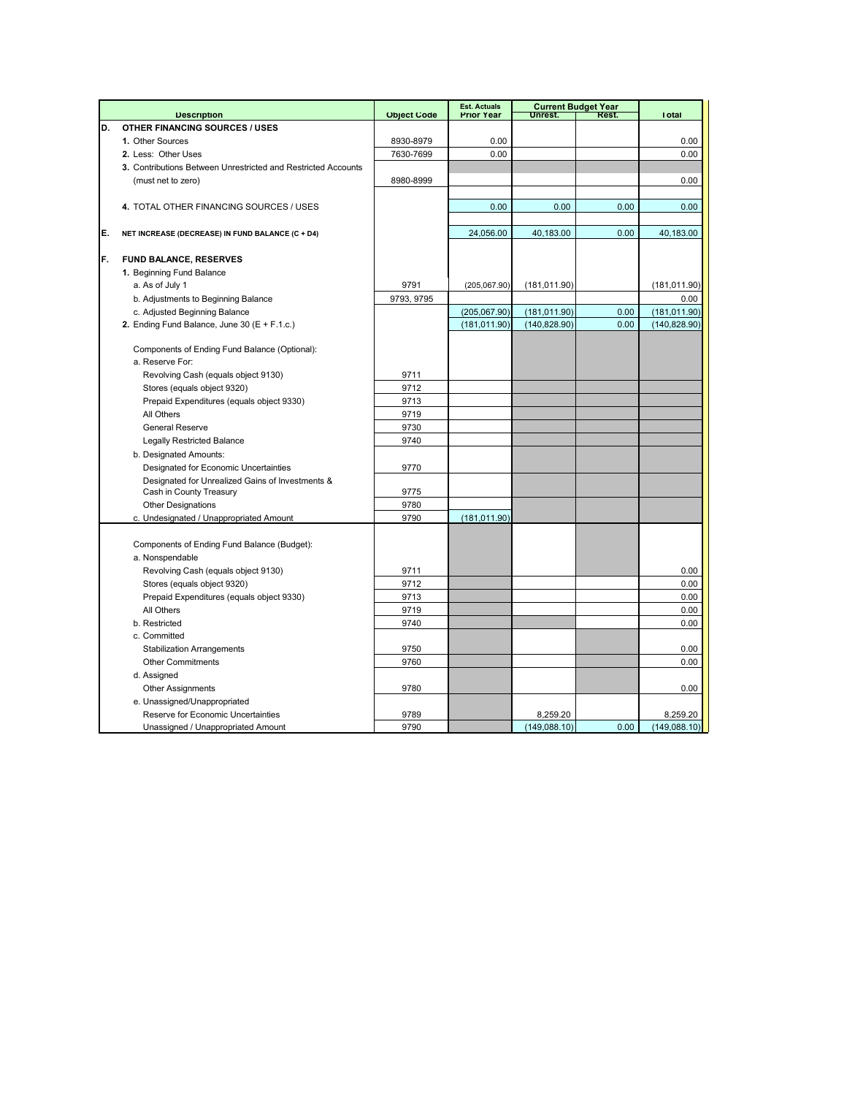|    |                                                               |                    | <b>Est. Actuals</b> |               | <b>Current Budget Year</b> |               |
|----|---------------------------------------------------------------|--------------------|---------------------|---------------|----------------------------|---------------|
|    | <b>Description</b>                                            | <b>Object Code</b> | <b>Prior Year</b>   | Unrest.       | Rest.                      | <b>Total</b>  |
| D. | <b>OTHER FINANCING SOURCES / USES</b>                         |                    |                     |               |                            |               |
|    | 1. Other Sources                                              | 8930-8979          | 0.00                |               |                            | 0.00          |
|    | 2. Less: Other Uses                                           | 7630-7699          | 0.00                |               |                            | 0.00          |
|    | 3. Contributions Between Unrestricted and Restricted Accounts |                    |                     |               |                            |               |
|    | (must net to zero)                                            | 8980-8999          |                     |               |                            | 0.00          |
|    |                                                               |                    |                     |               |                            |               |
|    | 4. TOTAL OTHER FINANCING SOURCES / USES                       |                    | 0.00                | 0.00          | 0.00                       | 0.00          |
|    |                                                               |                    |                     |               |                            |               |
| E. | NET INCREASE (DECREASE) IN FUND BALANCE (C + D4)              |                    | 24,056.00           | 40,183.00     | 0.00                       | 40,183.00     |
|    |                                                               |                    |                     |               |                            |               |
| F. | <b>FUND BALANCE, RESERVES</b>                                 |                    |                     |               |                            |               |
|    | 1. Beginning Fund Balance                                     |                    |                     |               |                            |               |
|    | a. As of July 1                                               | 9791               | (205,067.90)        | (181, 011.90) |                            | (181, 011.90) |
|    | b. Adjustments to Beginning Balance                           | 9793, 9795         |                     |               |                            | 0.00          |
|    | c. Adjusted Beginning Balance                                 |                    | (205,067.90)        | (181, 011.90) | 0.00                       | (181, 011.90) |
|    | 2. Ending Fund Balance, June 30 (E + F.1.c.)                  |                    | (181, 011.90)       | (140, 828.90) | 0.00                       | (140, 828.90) |
|    |                                                               |                    |                     |               |                            |               |
|    | Components of Ending Fund Balance (Optional):                 |                    |                     |               |                            |               |
|    | a. Reserve For:                                               |                    |                     |               |                            |               |
|    | Revolving Cash (equals object 9130)                           | 9711               |                     |               |                            |               |
|    | Stores (equals object 9320)                                   | 9712               |                     |               |                            |               |
|    | Prepaid Expenditures (equals object 9330)                     | 9713               |                     |               |                            |               |
|    | All Others                                                    | 9719               |                     |               |                            |               |
|    | <b>General Reserve</b>                                        | 9730               |                     |               |                            |               |
|    | <b>Legally Restricted Balance</b>                             | 9740               |                     |               |                            |               |
|    | b. Designated Amounts:                                        |                    |                     |               |                            |               |
|    | Designated for Economic Uncertainties                         | 9770               |                     |               |                            |               |
|    | Designated for Unrealized Gains of Investments &              |                    |                     |               |                            |               |
|    | Cash in County Treasury                                       | 9775               |                     |               |                            |               |
|    | <b>Other Designations</b>                                     | 9780               |                     |               |                            |               |
|    | c. Undesignated / Unappropriated Amount                       | 9790               | (181, 011.90)       |               |                            |               |
|    |                                                               |                    |                     |               |                            |               |
|    | Components of Ending Fund Balance (Budget):                   |                    |                     |               |                            |               |
|    | a. Nonspendable                                               |                    |                     |               |                            |               |
|    | Revolving Cash (equals object 9130)                           | 9711               |                     |               |                            | 0.00          |
|    | Stores (equals object 9320)                                   | 9712               |                     |               |                            | 0.00          |
|    | Prepaid Expenditures (equals object 9330)                     | 9713               |                     |               |                            | 0.00          |
|    | All Others                                                    | 9719               |                     |               |                            | 0.00          |
|    | b. Restricted                                                 | 9740               |                     |               |                            | 0.00          |
|    | c. Committed                                                  |                    |                     |               |                            |               |
|    | <b>Stabilization Arrangements</b>                             | 9750               |                     |               |                            | 0.00          |
|    | <b>Other Commitments</b>                                      | 9760               |                     |               |                            | 0.00          |
|    | d. Assigned                                                   |                    |                     |               |                            |               |
|    | <b>Other Assignments</b>                                      | 9780               |                     |               |                            | 0.00          |
|    | e. Unassigned/Unappropriated                                  |                    |                     |               |                            |               |
|    | Reserve for Economic Uncertainties                            | 9789               |                     | 8,259.20      |                            | 8,259.20      |
|    | Unassigned / Unappropriated Amount                            | 9790               |                     | (149,088.10)  | 0.00                       | (149,088.10)  |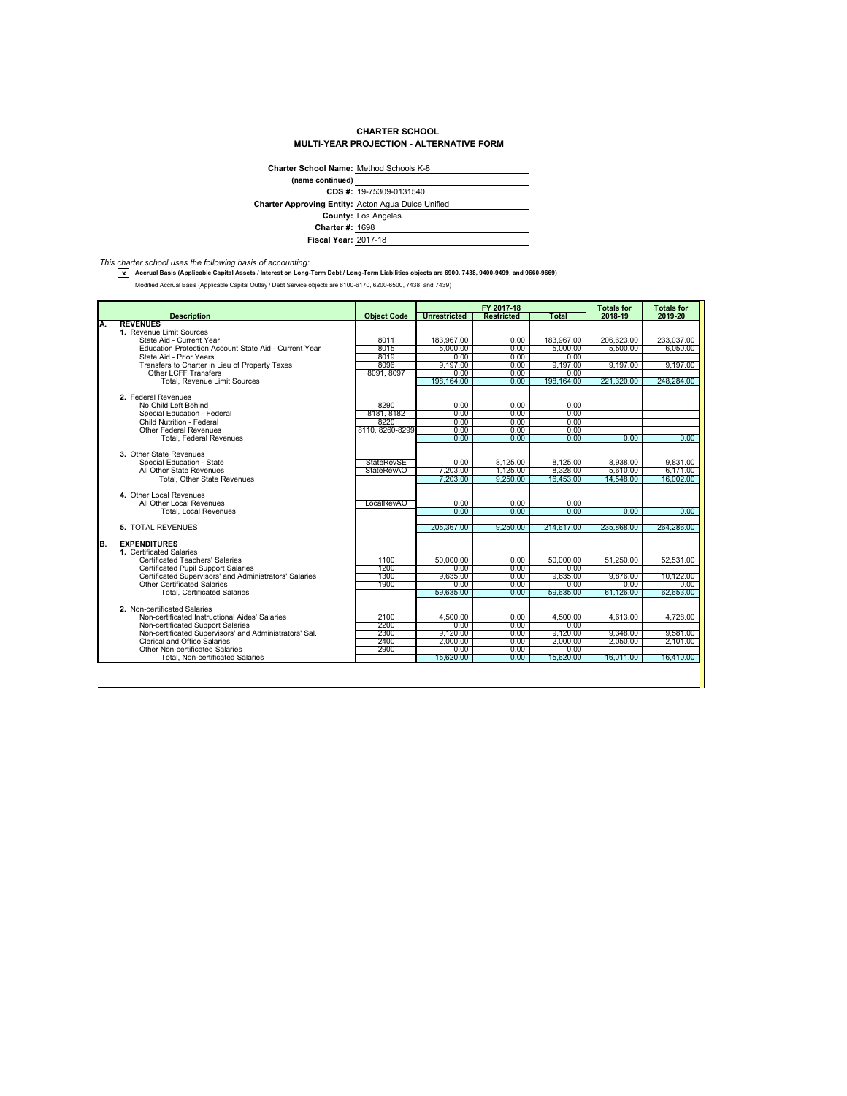## **CHARTER SCHOOL MULTI-YEAR PROJECTION - ALTERNATIVE FORM**

| <b>Charter School Name: Method Schools K-8</b>            |                            |  |  |  |
|-----------------------------------------------------------|----------------------------|--|--|--|
| (name continued)                                          |                            |  |  |  |
|                                                           | CDS #: 19-75309-0131540    |  |  |  |
| <b>Charter Approving Entity: Acton Agua Dulce Unified</b> |                            |  |  |  |
|                                                           | <b>County: Los Angeles</b> |  |  |  |
| <b>Charter #: 1698</b>                                    |                            |  |  |  |
| <b>Fiscal Year: 2017-18</b>                               |                            |  |  |  |

*This charter school uses the following basis of accounting:* **x Accrual Basis (Applicable Capital Assets / Interest on Long-Term Debt / Long-Term Liabilities objects are 6900, 7438, 9400-9499, and 9660-9669)**

Modified Accrual Basis (Applicable Capital Outlay / Debt Service objects are 6100-6170, 6200-6500, 7438, and 7439)

|    |                                                        |                    | FY 2017-18          |                   | <b>Totals for</b> | <b>Totals for</b> |            |
|----|--------------------------------------------------------|--------------------|---------------------|-------------------|-------------------|-------------------|------------|
|    | <b>Description</b>                                     | <b>Object Code</b> | <b>Unrestricted</b> | <b>Restricted</b> | Total             | 2018-19           | 2019-20    |
| Α. | <b>REVENUES</b>                                        |                    |                     |                   |                   |                   |            |
|    | 1. Revenue Limit Sources                               |                    |                     |                   |                   |                   |            |
|    | State Aid - Current Year                               | 8011               | 183.967.00          | 0.00              | 183.967.00        | 206.623.00        | 233.037.00 |
|    | Education Protection Account State Aid - Current Year  | 8015               | 5.000.00            | 0.00              | 5.000.00          | 5.500.00          | 6.050.00   |
|    | State Aid - Prior Years                                | 8019               | 0.00                | 0.00              | 0.00              |                   |            |
|    | Transfers to Charter in Lieu of Property Taxes         | 8096               | 9.197.00            | 0.00              | 9.197.00          | 9.197.00          | 9,197.00   |
|    | <b>Other LCFF Transfers</b>                            | 8091, 8097         | 0.00                | 0.00              | 0.00              |                   |            |
|    | Total, Revenue Limit Sources                           |                    | 198,164.00          | 0.00              | 198,164.00        | 221,320.00        | 248,284.00 |
|    | 2. Federal Revenues                                    |                    |                     |                   |                   |                   |            |
|    | No Child Left Behind                                   | 8290               | 0.00                | 0.00              | 0.00              |                   |            |
|    | Special Education - Federal                            | 8181, 8182         | 0.00                | 0.00              | 0.00              |                   |            |
|    | Child Nutrition - Federal                              | 8220               |                     |                   |                   |                   |            |
|    | <b>Other Federal Revenues</b>                          | 8110, 8260-8299    | 0.00<br>0.00        | 0.00<br>0.00      | 0.00<br>0.00      |                   |            |
|    | <b>Total, Federal Revenues</b>                         |                    | 0.00                | 0.00              | 0.00              | 0.00              | 0.00       |
|    |                                                        |                    |                     |                   |                   |                   |            |
|    | 3. Other State Revenues                                |                    |                     |                   |                   |                   |            |
|    | Special Education - State                              | <b>StateRevSE</b>  | 0.00                | 8,125.00          | 8,125.00          | 8.938.00          | 9,831.00   |
|    | All Other State Revenues                               | StateRevAO         | 7,203,00            | 1.125.00          | 8.328.00          | 5.610.00          | 6.171.00   |
|    | <b>Total, Other State Revenues</b>                     |                    | 7.203.00            | 9.250.00          | 16.453.00         | 14.548.00         | 16.002.00  |
|    |                                                        |                    |                     |                   |                   |                   |            |
|    | 4. Other Local Revenues                                |                    |                     |                   |                   |                   |            |
|    | All Other Local Revenues                               | LocalRevAO         | 0.00                | 0.00              | 0.00              |                   |            |
|    | <b>Total, Local Revenues</b>                           |                    | 0.00                | 0.00              | 0.00              | 0.00              | 0.00       |
|    |                                                        |                    |                     |                   |                   |                   |            |
|    | 5. TOTAL REVENUES                                      |                    | 205.367.00          | 9.250.00          | 214,617.00        | 235.868.00        | 264,286,00 |
| B. | <b>EXPENDITURES</b>                                    |                    |                     |                   |                   |                   |            |
|    | 1. Certificated Salaries                               |                    |                     |                   |                   |                   |            |
|    | Certificated Teachers' Salaries                        | 1100               | 50,000.00           | 0.00              | 50.000.00         | 51.250.00         | 52.531.00  |
|    | <b>Certificated Pupil Support Salaries</b>             | 1200               | 0.00                | 0.00              | 0.00              |                   |            |
|    | Certificated Supervisors' and Administrators' Salaries | 1300               | 9,635.00            | 0.00              | 9.635.00          | 9,876.00          | 10,122.00  |
|    | <b>Other Certificated Salaries</b>                     | 1900               | 0.00                | 0.00              | 0.00              | 0.00              | 0.00       |
|    | <b>Total, Certificated Salaries</b>                    |                    | 59.635.00           | 0.00              | 59.635.00         | 61.126.00         | 62.653.00  |
|    |                                                        |                    |                     |                   |                   |                   |            |
|    | 2. Non-certificated Salaries                           |                    |                     |                   |                   |                   |            |
|    | Non-certificated Instructional Aides' Salaries         | 2100               | 4,500.00            | 0.00              | 4,500.00          | 4.613.00          | 4,728.00   |
|    | Non-certificated Support Salaries                      | 2200               | 0.00                | 0.00              | 0.00              |                   |            |
|    | Non-certificated Supervisors' and Administrators' Sal. | 2300               | 9.120.00            | 0.00              | 9.120.00          | 9.348.00          | 9,581.00   |
|    | <b>Clerical and Office Salaries</b>                    | 2400               | 2.000.00            | 0.00              | 2.000.00          | 2.050.00          | 2.101.00   |
|    | Other Non-certificated Salaries                        | 2900               | 0.00                | 0.00              | 0.00              |                   |            |
|    | <b>Total, Non-certificated Salaries</b>                |                    | 15,620.00           | 0.00              | 15,620.00         | 16.011.00         | 16,410.00  |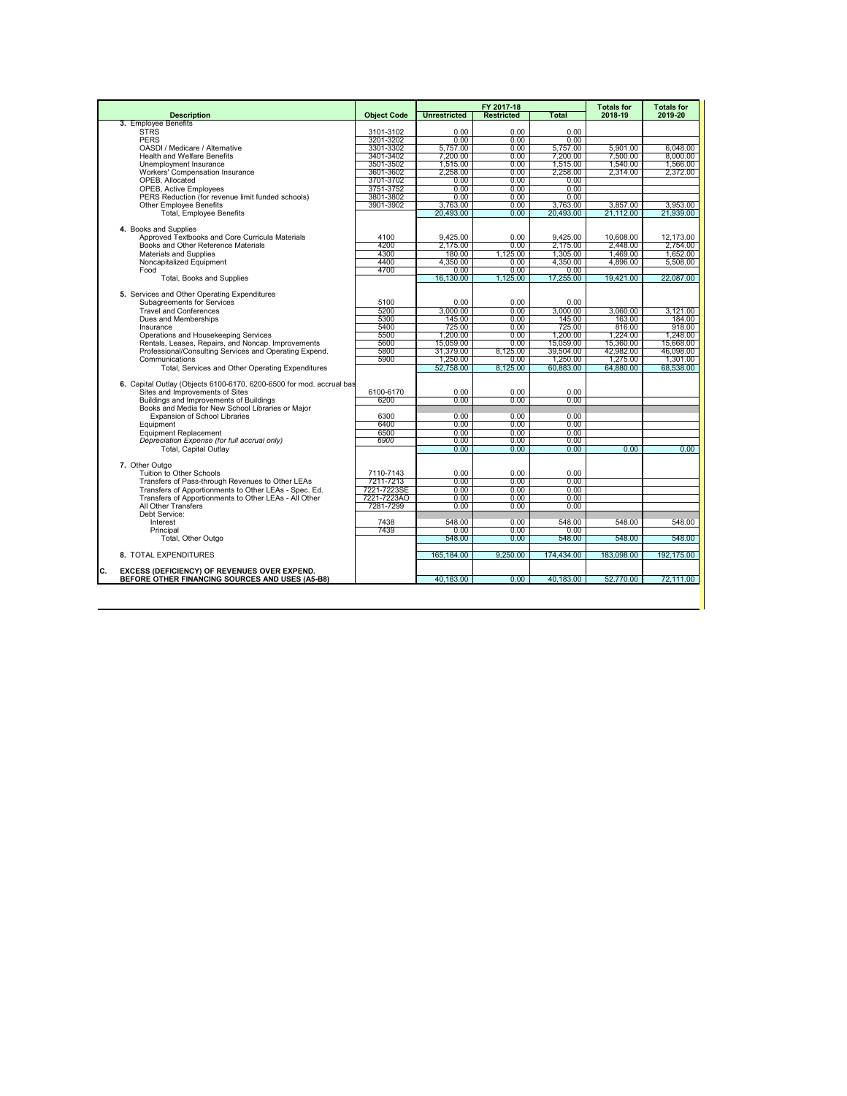|                                                                                                         |                        |                     | FY 2017-18        |              | <b>Totals for</b> | <b>Totals for</b> |
|---------------------------------------------------------------------------------------------------------|------------------------|---------------------|-------------------|--------------|-------------------|-------------------|
| <b>Description</b>                                                                                      | <b>Object Code</b>     | <b>Unrestricted</b> | <b>Restricted</b> | <b>Total</b> | 2018-19           | 2019-20           |
| 3. Employee Benefits                                                                                    |                        |                     |                   |              |                   |                   |
| <b>STRS</b>                                                                                             | 3101-3102              | 0.00                | 0.00              | 0.00         |                   |                   |
| <b>PERS</b>                                                                                             | 3201-3202              | 0.00                | 0.00              | 0.00         |                   |                   |
| OASDI / Medicare / Alternative                                                                          | 3301-3302              | 5.757.00            | 0.00              | 5.757.00     | 5.901.00          | 6,048.00          |
| <b>Health and Welfare Benefits</b>                                                                      | 3401-3402              | 7,200.00            | 0.00              | 7.200.00     | 7.500.00          | 8,000.00          |
| Unemployment Insurance                                                                                  | 3501-3502              | 1.515.00            | 0.00              | 1.515.00     | 1.540.00          | 1.566.00          |
| Workers' Compensation Insurance                                                                         | 3601-3602<br>3701-3702 | 2,258.00            | 0.00              | 2.258.00     | 2.314.00          | 2.372.00          |
| OPEB, Allocated<br><b>OPEB, Active Employees</b>                                                        | 3751-3752              | 0.00<br>0.00        | 0.00<br>0.00      | 0.00<br>0.00 |                   |                   |
| PERS Reduction (for revenue limit funded schools)                                                       | 3801-3802              | 0.00                | 0.00              | 0.00         |                   |                   |
| <b>Other Employee Benefits</b>                                                                          | 3901-3902              | 3.763.00            | 0.00              | 3.763.00     | 3.857.00          | 3.953.00          |
| <b>Total, Employee Benefits</b>                                                                         |                        | 20.493.00           | 0.00              | 20,493.00    | 21,112.00         | 21.939.00         |
|                                                                                                         |                        |                     |                   |              |                   |                   |
| 4. Books and Supplies                                                                                   |                        |                     |                   |              |                   |                   |
| Approved Textbooks and Core Curricula Materials                                                         | 4100                   | 9,425.00            | 0.00              | 9,425.00     | 10,608.00         | 12,173.00         |
| Books and Other Reference Materials                                                                     | 4200                   | 2,175.00            | 0.00              | 2,175.00     | 2.448.00          | 2.754.00          |
| Materials and Supplies                                                                                  | 4300                   | 180.00              | 1.125.00          | 1,305.00     | 1.469.00          | 1,652.00          |
| Noncapitalized Equipment                                                                                | 4400                   | 4,350.00            | 0.00              | 4,350.00     | 4.896.00          | 5.508.00          |
| Food                                                                                                    | 4700                   | 0.00                | 0.00              | 0.00         |                   |                   |
| <b>Total, Books and Supplies</b>                                                                        |                        | 16.130.00           | 1.125.00          | 17.255.00    | 19.421.00         | 22.087.00         |
|                                                                                                         |                        |                     |                   |              |                   |                   |
| 5. Services and Other Operating Expenditures                                                            |                        |                     |                   |              |                   |                   |
| Subagreements for Services                                                                              | 5100                   | 0.00                | 0.00              | 0.00         |                   |                   |
| <b>Travel and Conferences</b>                                                                           | 5200                   | 3.000.00            | 0.00              | 3.000.00     | 3.060.00          | 3.121.00          |
| Dues and Memberships                                                                                    | 5300                   | 145.00              | 0.00              | 145.00       | 163.00            | 184.00            |
| Insurance                                                                                               | 5400                   | 725.00              | 0.00              | 725.00       | 816.00            | 918.00            |
| Operations and Housekeeping Services                                                                    | 5500                   | 1.200.00            | 0.00              | 1.200.00     | 1.224.00          | 1.248.00          |
| Rentals, Leases, Repairs, and Noncap. Improvements                                                      | 5600                   | 15,059.00           | 0.00              | 15.059.00    | 15,360.00         | 15,668,00         |
| Professional/Consulting Services and Operating Expend.                                                  | 5800                   | 31.379.00           | 8.125.00          | 39.504.00    | 42.982.00         | 46.098.00         |
| Communications                                                                                          | 5900                   | 1.250.00            | 0.00              | 1.250.00     | 1.275.00          | 1.301.00          |
| Total, Services and Other Operating Expenditures                                                        |                        | 52.758.00           | 8.125.00          | 60.883.00    | 64.880.00         | 68.538.00         |
|                                                                                                         |                        |                     |                   |              |                   |                   |
| 6. Capital Outlay (Objects 6100-6170, 6200-6500 for mod. accrual bas<br>Sites and Improvements of Sites | 6100-6170              | 0.00                | 0.00              | 0.00         |                   |                   |
| Buildings and Improvements of Buildings                                                                 | 6200                   | 0.00                | 0.00              | 0.00         |                   |                   |
| Books and Media for New School Libraries or Maior                                                       |                        |                     |                   |              |                   |                   |
| <b>Expansion of School Libraries</b>                                                                    | 6300                   | 0.00                | 0.00              | 0.00         |                   |                   |
| Equipment                                                                                               | 6400                   | 0.00                | 0.00              | 0.00         |                   |                   |
| <b>Equipment Replacement</b>                                                                            | 6500                   | 0.00                | 0.00              | 0.00         |                   |                   |
| Depreciation Expense (for full accrual only)                                                            | 6900                   | 0.00                | 0.00              | 0.00         |                   |                   |
| <b>Total, Capital Outlav</b>                                                                            |                        | 0.00                | 0.00              | 0.00         | 0.00              | 0.00              |
|                                                                                                         |                        |                     |                   |              |                   |                   |
| 7. Other Outgo                                                                                          |                        |                     |                   |              |                   |                   |
| Tuition to Other Schools                                                                                | 7110-7143              | $0.00 -$            | 0.00              | 0.00         |                   |                   |
| Transfers of Pass-through Revenues to Other LEAs                                                        | 7211-7213              | 0.00                | 0.00              | 0.00         |                   |                   |
| Transfers of Apportionments to Other LEAs - Spec. Ed.                                                   | 7221-7223SE            | 0.00                | 0.00              | $0.00 -$     |                   |                   |
| Transfers of Apportionments to Other LEAs - All Other                                                   | 7221-7223AO            | 0.00                | 0.00              | 0.00         |                   |                   |
| All Other Transfers                                                                                     | 7281-7299              | 0.00                | 0.00              | 0.00         |                   |                   |
| Debt Service:                                                                                           |                        |                     |                   |              |                   |                   |
| Interest                                                                                                | 7438                   | 548.00              | 0.00              | 548.00       | 548.00            | 548.00            |
| Principal                                                                                               | 7439                   | 0.00                | 0.00              | 0.00         |                   |                   |
| Total, Other Outgo                                                                                      |                        | 548.00              | 0.00              | 548.00       | 548.00            | 548.00            |
| 8. TOTAL EXPENDITURES                                                                                   |                        | 165.184.00          | 9.250.00          | 174.434.00   | 183.098.00        | 192.175.00        |
| C.<br>EXCESS (DEFICIENCY) OF REVENUES OVER EXPEND.                                                      |                        |                     |                   |              |                   |                   |
| BEFORE OTHER FINANCING SOURCES AND USES (A5-B8)                                                         |                        | 40,183.00           | 0.00              | 40,183.00    | 52,770.00         | 72,111.00         |
|                                                                                                         |                        |                     |                   |              |                   |                   |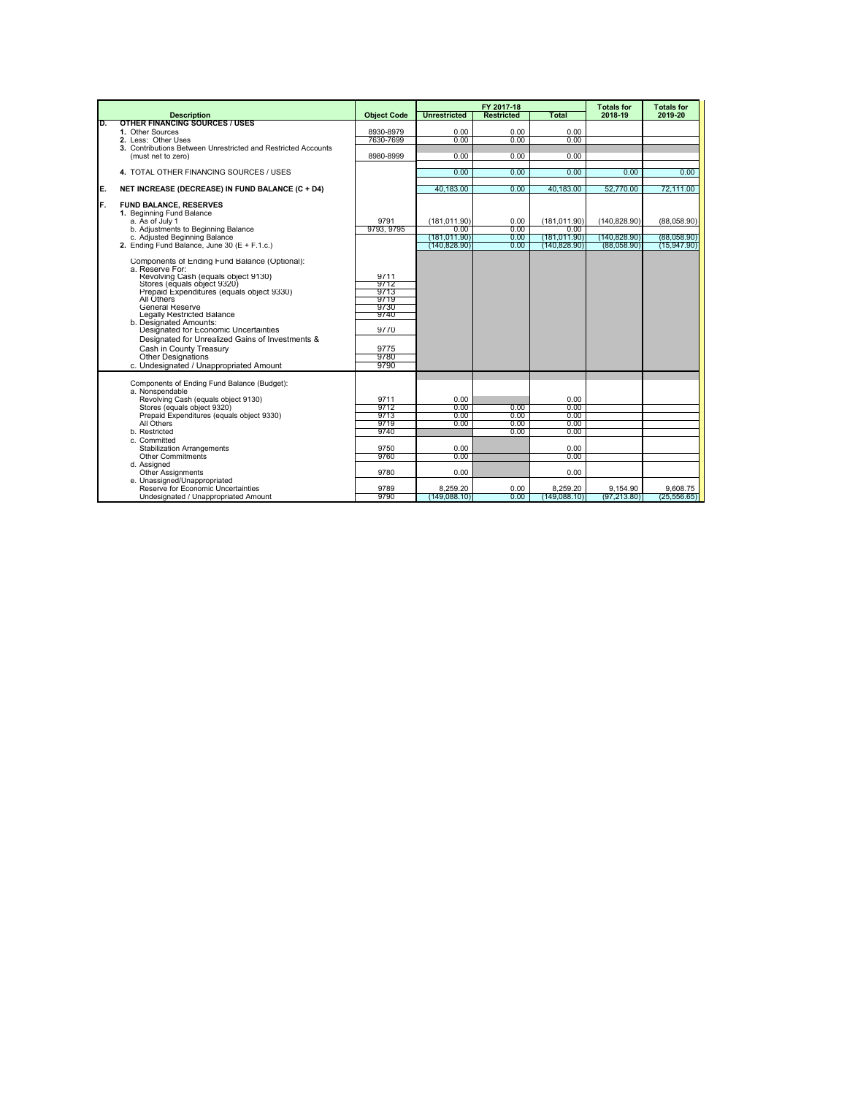|     |                                                                                                                                                                                                                                                                                                                                                                                                                                                                              |                                                                              | FY 2017-18                                           |                              | <b>Totals for</b>                                            | <b>Totals for</b>            |                            |
|-----|------------------------------------------------------------------------------------------------------------------------------------------------------------------------------------------------------------------------------------------------------------------------------------------------------------------------------------------------------------------------------------------------------------------------------------------------------------------------------|------------------------------------------------------------------------------|------------------------------------------------------|------------------------------|--------------------------------------------------------------|------------------------------|----------------------------|
|     | <b>Description</b>                                                                                                                                                                                                                                                                                                                                                                                                                                                           | <b>Object Code</b>                                                           | <b>Unrestricted</b>                                  | <b>Restricted</b>            | <b>Total</b>                                                 | 2018-19                      | 2019-20                    |
| D.  | <b>OTHER FINANCING SOURCES / USES</b><br>1. Other Sources                                                                                                                                                                                                                                                                                                                                                                                                                    | 8930-8979                                                                    | 0.00                                                 | 0.00                         | 0.00                                                         |                              |                            |
|     | 2. Less: Other Uses                                                                                                                                                                                                                                                                                                                                                                                                                                                          | 7630-7699                                                                    | 0.00                                                 | 0.00                         | 0.00                                                         |                              |                            |
|     | 3. Contributions Between Unrestricted and Restricted Accounts                                                                                                                                                                                                                                                                                                                                                                                                                |                                                                              |                                                      |                              |                                                              |                              |                            |
|     | (must net to zero)                                                                                                                                                                                                                                                                                                                                                                                                                                                           | 8980-8999                                                                    | 0.00                                                 | 0.00                         | 0.00                                                         |                              |                            |
|     |                                                                                                                                                                                                                                                                                                                                                                                                                                                                              |                                                                              |                                                      |                              |                                                              |                              |                            |
|     | 4. TOTAL OTHER FINANCING SOURCES / USES                                                                                                                                                                                                                                                                                                                                                                                                                                      |                                                                              | 0.00                                                 | 0.00                         | 0.00                                                         | 0.00                         | 0.00                       |
| IE. | NET INCREASE (DECREASE) IN FUND BALANCE (C + D4)                                                                                                                                                                                                                                                                                                                                                                                                                             |                                                                              | 40,183.00                                            | 0.00                         | 40.183.00                                                    | 52,770.00                    | 72.111.00                  |
| IF. | <b>FUND BALANCE, RESERVES</b><br>1. Beginning Fund Balance<br>a. As of July 1                                                                                                                                                                                                                                                                                                                                                                                                | 9791                                                                         | (181.011.90)                                         | 0.00                         | (181.011.90)                                                 | (140.828.90)                 | (88.058.90)                |
|     | b. Adjustments to Beginning Balance                                                                                                                                                                                                                                                                                                                                                                                                                                          | 9793, 9795                                                                   | 0.00                                                 | 0.00                         | 0.00                                                         |                              |                            |
|     | c. Adjusted Beginning Balance<br>2. Ending Fund Balance. June 30 $(E + F.1.c.)$                                                                                                                                                                                                                                                                                                                                                                                              |                                                                              | (181,011.90)<br>(140.828.90)                         | 0.00<br>0.00                 | (181.011.90)<br>(140.828.90)                                 | (140, 828.90)<br>(88.058.90) | (88,058.90)<br>(15.947.90) |
|     | Components of Ending Fund Balance (Optional):<br>a. Reserve For:<br>Revolving Cash (equals object 9130)<br>Stores (equals object 9320)<br>Prepaid Expenditures (equals object 9330)<br>All Others<br>General Reserve<br>Legally Restricted Balance<br>b. Designated Amounts:<br>Designated for Economic Uncertainties<br>Designated for Unrealized Gains of Investments &<br>Cash in County Treasury<br><b>Other Designations</b><br>c. Undesignated / Unappropriated Amount | 9711<br>9712<br>9713<br>9719<br>9730<br>9740<br>9770<br>9775<br>9780<br>9790 |                                                      |                              |                                                              |                              |                            |
|     | Components of Ending Fund Balance (Budget):<br>a. Nonspendable<br>Revolving Cash (equals object 9130)<br>Stores (equals object 9320)<br>Prepaid Expenditures (equals object 9330)<br>All Others<br>b. Restricted<br>c. Committed<br><b>Stabilization Arrangements</b><br>Other Commitments<br>d. Assigned<br><b>Other Assignments</b><br>e. Unassigned/Unappropriated                                                                                                        | 9711<br>9712<br>9713<br>9719<br>9740<br>9750<br>9760<br>9780                 | 0.00<br>0.00<br>0.00<br>0.00<br>0.00<br>0.00<br>0.00 | 0.00<br>0.00<br>0.00<br>0.00 | 0.00<br>0.00<br>0.00<br>0.00<br>0.00<br>0.00<br>0.00<br>0.00 |                              |                            |
|     | Reserve for Economic Uncertainties<br>Undesignated / Unappropriated Amount                                                                                                                                                                                                                                                                                                                                                                                                   | 9789<br>9790                                                                 | 8.259.20<br>(149.088.10)                             | 0.00<br>0.00                 | 8.259.20<br>(149.088.10)                                     | 9.154.90<br>(97.213.80)      | 9.608.75<br>(25.556.65)    |
|     |                                                                                                                                                                                                                                                                                                                                                                                                                                                                              |                                                                              |                                                      |                              |                                                              |                              |                            |